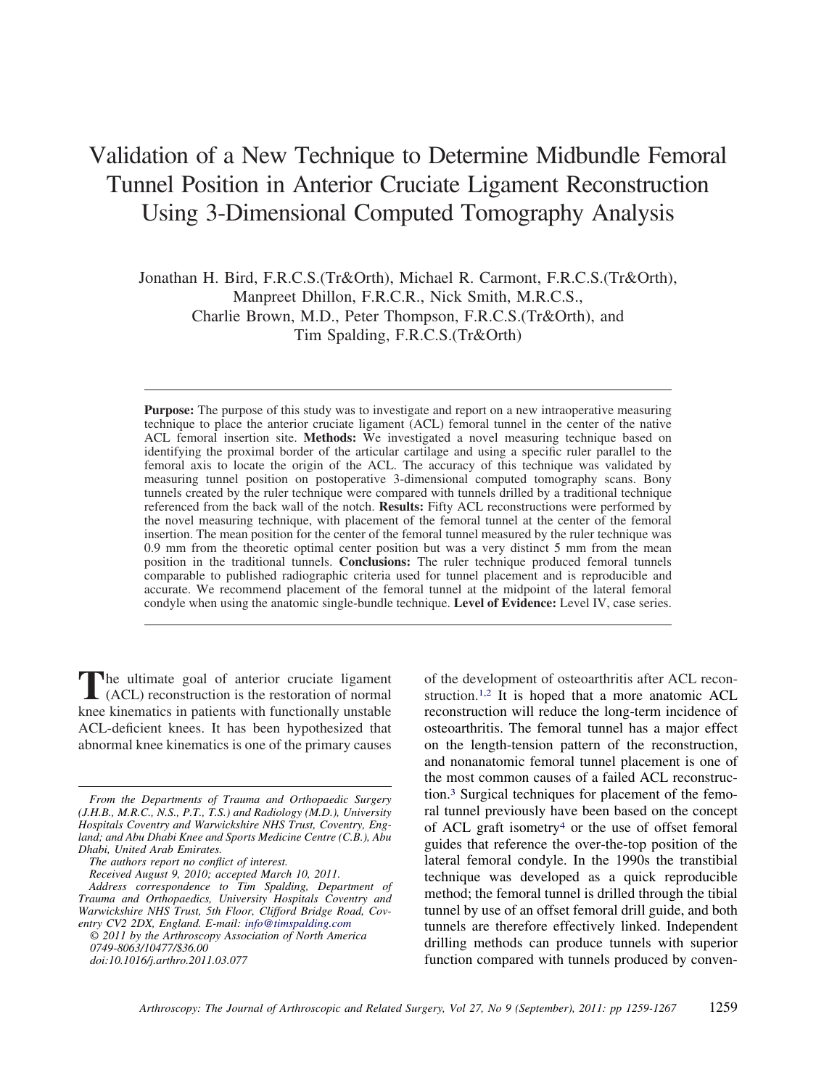# Validation of a New Technique to Determine Midbundle Femoral Tunnel Position in Anterior Cruciate Ligament Reconstruction Using 3-Dimensional Computed Tomography Analysis

Jonathan H. Bird, F.R.C.S. (Tr&Orth), Michael R. Carmont, F.R.C.S. (Tr&Orth), Manpreet Dhillon, F.R.C.R., Nick Smith, M.R.C.S., Charlie Brown, M.D., Peter Thompson, F.R.C.S.(Tr&Orth), and Tim Spalding, F.R.C.S. (Tr&Orth)

**Purpose:** The purpose of this study was to investigate and report on a new intraoperative measuring technique to place the anterior cruciate ligament (ACL) femoral tunnel in the center of the native ACL femoral insertion site. Methods: We investigated a novel measuring technique based on identifying the proximal border of the articular cartilage and using a specific ruler parallel to the femoral axis to locate the origin of the ACL. The accuracy of this technique was validated by measuring tunnel position on postoperative 3-dimensional computed tomography scans. Bony tunnels created by the ruler technique were compared with tunnels drilled by a traditional technique referenced from the back wall of the notch. Results: Fifty ACL reconstructions were performed by the novel measuring technique, with placement of the femoral tunnel at the center of the femoral insertion. The mean position for the center of the femoral tunnel measured by the ruler technique was 0.9 mm from the theoretic optimal center position but was a very distinct 5 mm from the mean position in the traditional tunnels. Conclusions: The ruler technique produced femoral tunnels comparable to published radiographic criteria used for tunnel placement and is reproducible and accurate. We recommend placement of the femoral tunnel at the midpoint of the lateral femoral condyle when using the anatomic single-bundle technique. Level of Evidence: Level IV, case series.

The ultimate goal of anterior cruciate ligament . (ACL) reconstruction is the restoration of normal knee kinematics in patients with functionally unstable ACL-deficient knees. It has been hypothesized that abnormal knee kinematics is one of the primary causes

The authors report no conflict of interest.

Received August 9, 2010; accepted March 10, 2011.

© 2011 by the Arthroscopy Association of North America 0749-8063/10477/\$36.00 doi:10.1016/j.arthro.2011.03.077

of the development of osteoarthritis after ACL reconstruction.<sup>1,2</sup> It is hoped that a more anatomic ACL reconstruction will reduce the long-term incidence of osteoarthritis. The femoral tunnel has a major effect on the length-tension pattern of the reconstruction, and nonanatomic femoral tunnel placement is one of the most common causes of a failed ACL reconstruction.<sup>3</sup> Surgical techniques for placement of the femoral tunnel previously have been based on the concept of ACL graft isometry<sup>4</sup> or the use of offset femoral guides that reference the over-the-top position of the lateral femoral condyle. In the 1990s the transtibial technique was developed as a quick reproducible method; the femoral tunnel is drilled through the tibial tunnel by use of an offset femoral drill guide, and both tunnels are therefore effectively linked. Independent drilling methods can produce tunnels with superior function compared with tunnels produced by conven-

From the Departments of Trauma and Orthopaedic Surgery  $(J.H.B., M.R.C., N.S., P.T., T.S.)$  and Radiology (M.D.), University Hospitals Coventry and Warwickshire NHS Trust, Coventry, England; and Abu Dhabi Knee and Sports Medicine Centre (C.B.), Abu Dhabi, United Arab Emirates.

Address correspondence to Tim Spalding, Department of Trauma and Orthopaedics, University Hospitals Coventry and Warwickshire NHS Trust, 5th Floor, Clifford Bridge Road, Coventry CV2 2DX, England. E-mail: info@timspalding.com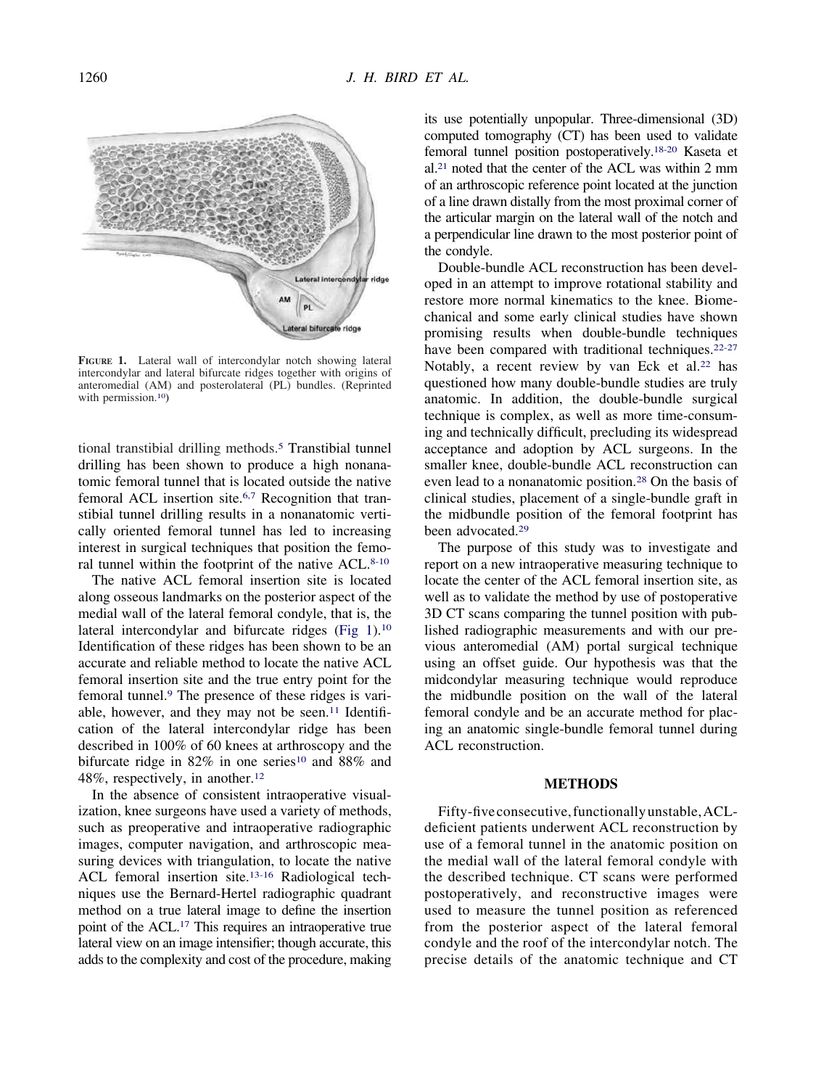

FIGURE 1. Lateral wall of intercondylar notch showing lateral intercondylar and lateral bifurcate ridges together with origins of anteromedial (AM) and posterolateral (PL) bundles. (Reprinted with permission.<sup>10</sup>)

tional transtibial drilling methods.<sup>5</sup> Transtibial tunnel drilling has been shown to produce a high nonanatomic femoral tunnel that is located outside the native femoral ACL insertion site.<sup>6,7</sup> Recognition that transtibial tunnel drilling results in a nonanatomic vertically oriented femoral tunnel has led to increasing interest in surgical techniques that position the femoral tunnel within the footprint of the native ACL.8-10

The native ACL femoral insertion site is located along osseous landmarks on the posterior aspect of the medial wall of the lateral femoral condyle, that is, the lateral intercondylar and bifurcate ridges (Fig 1).<sup>10</sup> Identification of these ridges has been shown to be an accurate and reliable method to locate the native ACL femoral insertion site and the true entry point for the femoral tunnel.<sup>9</sup> The presence of these ridges is variable, however, and they may not be seen.<sup>11</sup> Identification of the lateral intercondylar ridge has been described in 100% of 60 knees at arthroscopy and the bifurcate ridge in 82% in one series<sup>10</sup> and 88% and 48%, respectively, in another.<sup>12</sup>

In the absence of consistent intraoperative visualization, knee surgeons have used a variety of methods, such as preoperative and intraoperative radiographic images, computer navigation, and arthroscopic measuring devices with triangulation, to locate the native ACL femoral insertion site.<sup>13-16</sup> Radiological techniques use the Bernard-Hertel radiographic quadrant method on a true lateral image to define the insertion point of the ACL.<sup>17</sup> This requires an intraoperative true lateral view on an image intensifier; though accurate, this adds to the complexity and cost of the procedure, making its use potentially unpopular. Three-dimensional (3D) computed tomography (CT) has been used to validate femoral tunnel position postoperatively.<sup>18-20</sup> Kaseta et al.<sup>21</sup> noted that the center of the ACL was within 2 mm of an arthroscopic reference point located at the junction of a line drawn distally from the most proximal corner of the articular margin on the lateral wall of the notch and a perpendicular line drawn to the most posterior point of the condyle.

Double-bundle ACL reconstruction has been developed in an attempt to improve rotational stability and restore more normal kinematics to the knee. Biomechanical and some early clinical studies have shown promising results when double-bundle techniques have been compared with traditional techniques.<sup>22-27</sup> Notably, a recent review by van Eck et al.<sup>22</sup> has questioned how many double-bundle studies are truly anatomic. In addition, the double-bundle surgical technique is complex, as well as more time-consuming and technically difficult, precluding its widespread acceptance and adoption by ACL surgeons. In the smaller knee, double-bundle ACL reconstruction can even lead to a nonanatomic position.<sup>28</sup> On the basis of clinical studies, placement of a single-bundle graft in the midbundle position of the femoral footprint has been advocated.<sup>29</sup>

The purpose of this study was to investigate and report on a new intraoperative measuring technique to locate the center of the ACL femoral insertion site, as well as to validate the method by use of postoperative 3D CT scans comparing the tunnel position with published radiographic measurements and with our previous anteromedial (AM) portal surgical technique using an offset guide. Our hypothesis was that the midcondylar measuring technique would reproduce the midbundle position on the wall of the lateral femoral condyle and be an accurate method for placing an anatomic single-bundle femoral tunnel during ACL reconstruction.

#### **METHODS**

Fifty-five consecutive, functionally unstable, ACLdeficient patients underwent ACL reconstruction by use of a femoral tunnel in the anatomic position on the medial wall of the lateral femoral condyle with the described technique. CT scans were performed postoperatively, and reconstructive images were used to measure the tunnel position as referenced from the posterior aspect of the lateral femoral condyle and the roof of the intercondylar notch. The precise details of the anatomic technique and CT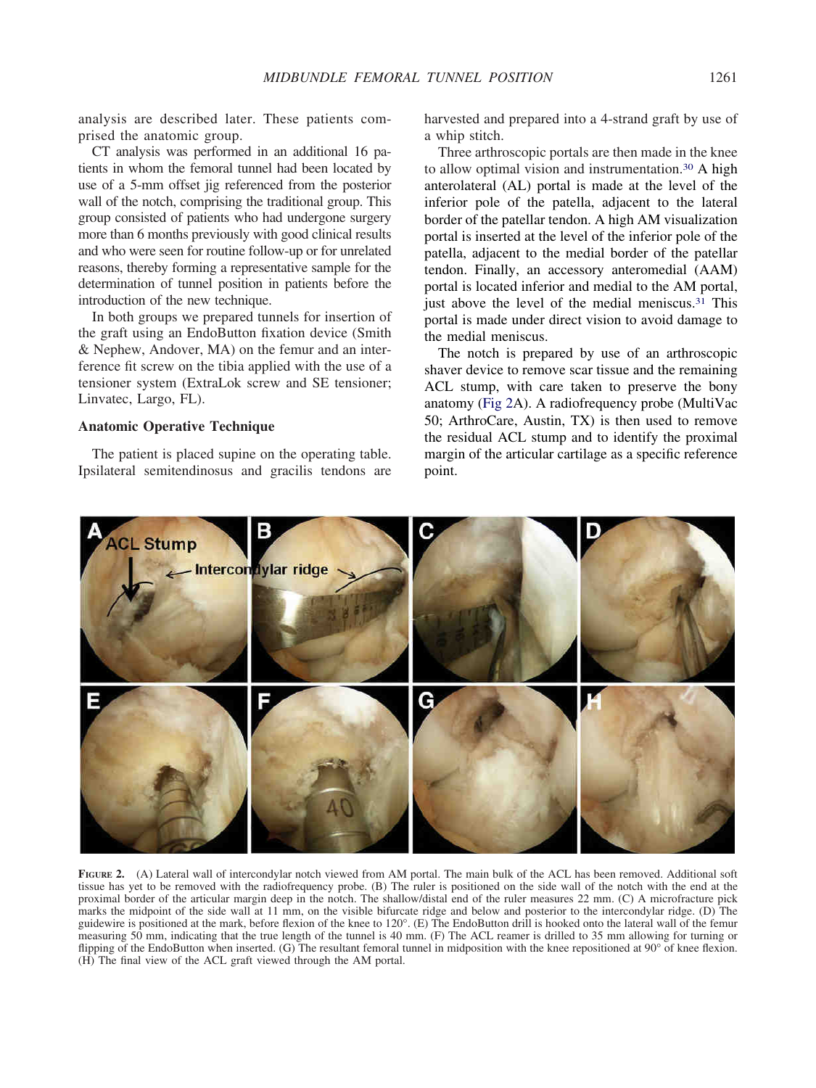analysis are described later. These patients comprised the anatomic group.

CT analysis was performed in an additional 16 patients in whom the femoral tunnel had been located by use of a 5-mm offset jig referenced from the posterior wall of the notch, comprising the traditional group. This group consisted of patients who had undergone surgery more than 6 months previously with good clinical results and who were seen for routine follow-up or for unrelated reasons, thereby forming a representative sample for the determination of tunnel position in patients before the introduction of the new technique.

In both groups we prepared tunnels for insertion of the graft using an EndoButton fixation device (Smith & Nephew, Andover, MA) on the femur and an interference fit screw on the tibia applied with the use of a tensioner system (ExtraLok screw and SE tensioner; Linvatec, Largo, FL).

#### **Anatomic Operative Technique**

The patient is placed supine on the operating table. Ipsilateral semitendinosus and gracilis tendons are harvested and prepared into a 4-strand graft by use of a whip stitch.

Three arthroscopic portals are then made in the knee to allow optimal vision and instrumentation.<sup>30</sup> A high anterolateral (AL) portal is made at the level of the inferior pole of the patella, adjacent to the lateral border of the patellar tendon. A high AM visualization portal is inserted at the level of the inferior pole of the patella, adjacent to the medial border of the patellar tendon. Finally, an accessory anteromedial (AAM) portal is located inferior and medial to the AM portal, just above the level of the medial meniscus.<sup>31</sup> This portal is made under direct vision to avoid damage to the medial meniscus.

The notch is prepared by use of an arthroscopic shaver device to remove scar tissue and the remaining ACL stump, with care taken to preserve the bony anatomy (Fig 2A). A radiofrequency probe (MultiVac 50; ArthroCare, Austin, TX) is then used to remove the residual ACL stump and to identify the proximal margin of the articular cartilage as a specific reference point.



FIGURE 2. (A) Lateral wall of intercondylar notch viewed from AM portal. The main bulk of the ACL has been removed. Additional soft tissue has yet to be removed with the radiofrequency probe. (B) The ruler is positioned on the side wall of the notch with the end at the proximal border of the articular margin deep in the notch. The shallow/distal end of the ruler measures 22 mm. (C) A microfracture pick marks the midpoint of the side wall at 11 mm, on the visible bifurcate ridge and below and posterior to the intercondylar ridge. (D) The guidewire is positioned at the mark, before flexion of the knee to 120°. (E) The EndoButton drill is hooked onto the lateral wall of the femur measuring 50 mm, indicating that the true length of the tunnel is 40 mm. (F) The ACL reamer is drilled to 35 mm allowing for turning or flipping of the EndoButton when inserted. (G) The resultant femoral tunnel in midposition with the knee repositioned at 90° of knee flexion. (H) The final view of the ACL graft viewed through the AM portal.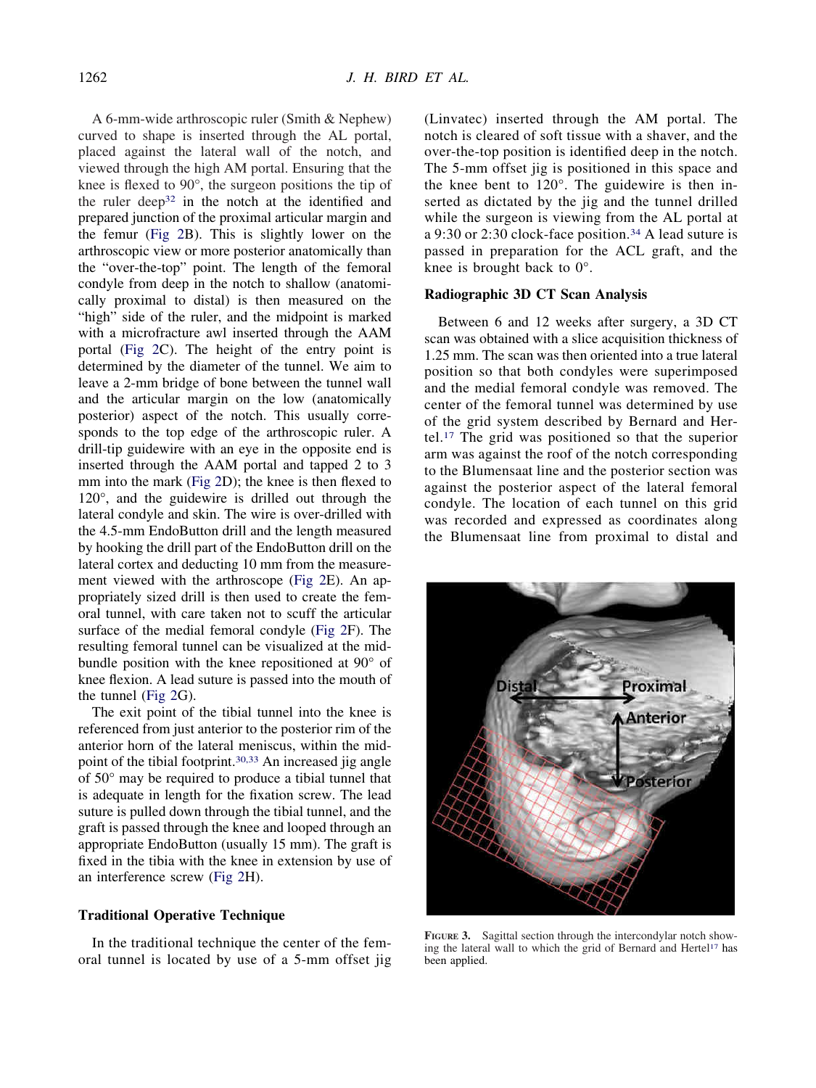A 6-mm-wide arthroscopic ruler (Smith & Nephew) curved to shape is inserted through the AL portal, placed against the lateral wall of the notch, and viewed through the high AM portal. Ensuring that the knee is flexed to  $90^\circ$ , the surgeon positions the tip of the ruler deep<sup>32</sup> in the notch at the identified and prepared junction of the proximal articular margin and the femur (Fig 2B). This is slightly lower on the arthroscopic view or more posterior anatomically than the "over-the-top" point. The length of the femoral condyle from deep in the notch to shallow (anatomically proximal to distal) is then measured on the "high" side of the ruler, and the midpoint is marked with a microfracture awl inserted through the AAM portal (Fig 2C). The height of the entry point is determined by the diameter of the tunnel. We aim to leave a 2-mm bridge of bone between the tunnel wall and the articular margin on the low (anatomically posterior) aspect of the notch. This usually corresponds to the top edge of the arthroscopic ruler. A drill-tip guidewire with an eye in the opposite end is inserted through the AAM portal and tapped 2 to 3 mm into the mark (Fig 2D); the knee is then flexed to  $120^\circ$ , and the guidewire is drilled out through the lateral condyle and skin. The wire is over-drilled with the 4.5-mm EndoButton drill and the length measured by hooking the drill part of the EndoButton drill on the lateral cortex and deducting 10 mm from the measurement viewed with the arthroscope (Fig 2E). An appropriately sized drill is then used to create the femoral tunnel, with care taken not to scuff the articular surface of the medial femoral condyle (Fig 2F). The resulting femoral tunnel can be visualized at the midbundle position with the knee repositioned at  $90^{\circ}$  of knee flexion. A lead suture is passed into the mouth of the tunnel (Fig 2G).

The exit point of the tibial tunnel into the knee is referenced from just anterior to the posterior rim of the anterior horn of the lateral meniscus, within the midpoint of the tibial footprint.<sup>30,33</sup> An increased jig angle of 50° may be required to produce a tibial tunnel that is adequate in length for the fixation screw. The lead suture is pulled down through the tibial tunnel, and the graft is passed through the knee and looped through an appropriate EndoButton (usually 15 mm). The graft is fixed in the tibia with the knee in extension by use of an interference screw (Fig 2H).

# **Traditional Operative Technique**

In the traditional technique the center of the femoral tunnel is located by use of a 5-mm offset jig (Linvatec) inserted through the AM portal. The notch is cleared of soft tissue with a shaver, and the over-the-top position is identified deep in the notch. The 5-mm offset jig is positioned in this space and the knee bent to  $120^\circ$ . The guidewire is then inserted as dictated by the jig and the tunnel drilled while the surgeon is viewing from the AL portal at a 9:30 or 2:30 clock-face position.<sup>34</sup> A lead suture is passed in preparation for the ACL graft, and the knee is brought back to  $0^\circ$ .

# Radiographic 3D CT Scan Analysis

Between 6 and 12 weeks after surgery, a 3D CT scan was obtained with a slice acquisition thickness of 1.25 mm. The scan was then oriented into a true lateral position so that both condyles were superimposed and the medial femoral condyle was removed. The center of the femoral tunnel was determined by use of the grid system described by Bernard and Hertel.<sup>17</sup> The grid was positioned so that the superior arm was against the roof of the notch corresponding to the Blumensaat line and the posterior section was against the posterior aspect of the lateral femoral condyle. The location of each tunnel on this grid was recorded and expressed as coordinates along the Blumensaat line from proximal to distal and



FIGURE 3. Sagittal section through the intercondylar notch showing the lateral wall to which the grid of Bernard and Hertel<sup>17</sup> has been applied.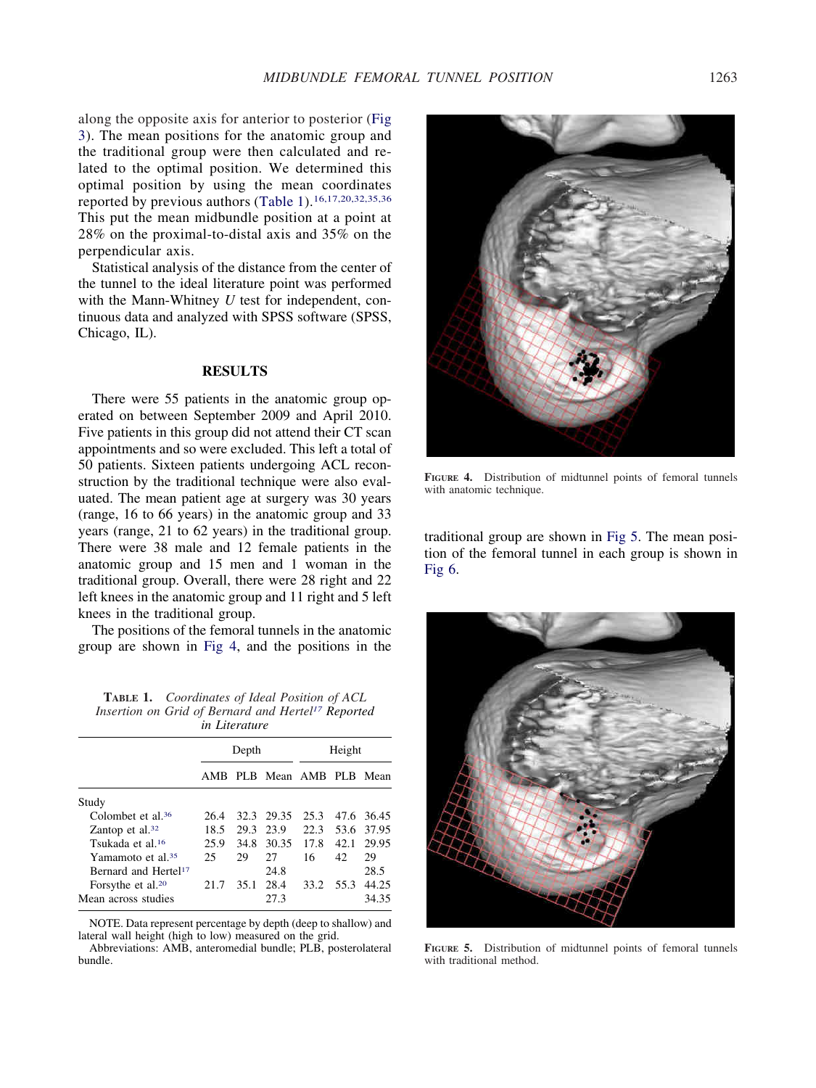along the opposite axis for anterior to posterior (Fig. 3). The mean positions for the anatomic group and the traditional group were then calculated and related to the optimal position. We determined this optimal position by using the mean coordinates reported by previous authors (Table 1).<sup>16,17,20,32,35,36</sup> This put the mean midbundle position at a point at 28% on the proximal-to-distal axis and 35% on the perpendicular axis.

Statistical analysis of the distance from the center of the tunnel to the ideal literature point was performed with the Mann-Whitney  $U$  test for independent, continuous data and analyzed with SPSS software (SPSS, Chicago, IL).

# **RESULTS**

There were 55 patients in the anatomic group operated on between September 2009 and April 2010. Five patients in this group did not attend their CT scan appointments and so were excluded. This left a total of 50 patients. Sixteen patients undergoing ACL reconstruction by the traditional technique were also evaluated. The mean patient age at surgery was 30 years (range, 16 to 66 years) in the anatomic group and 33 years (range, 21 to 62 years) in the traditional group. There were 38 male and 12 female patients in the anatomic group and 15 men and 1 woman in the traditional group. Overall, there were 28 right and 22 left knees in the anatomic group and 11 right and 5 left knees in the traditional group.

The positions of the femoral tunnels in the anatomic group are shown in Fig 4, and the positions in the

TABLE 1. Coordinates of Ideal Position of ACL Insertion on Grid of Bernard and Hertel<sup>17</sup> Reported in Literature

|                                  | Depth |      |                           | Height |           |            |
|----------------------------------|-------|------|---------------------------|--------|-----------|------------|
|                                  |       |      | AMB PLB Mean AMB PLB Mean |        |           |            |
| Study                            |       |      |                           |        |           |            |
| Colombet et al. <sup>36</sup>    | 26.4  |      | 32.3 29.35 25.3           |        |           | 47.6 36.45 |
| Zantop et al. $32$               | 18.5  |      | 29.3 23.9 22.3 53.6 37.95 |        |           |            |
| Tsukada et al. <sup>16</sup>     | 25.9  | 34.8 | 30.35                     |        | 17.8 42.1 | 29.95      |
| Yamamoto et al. <sup>35</sup>    | 25    | 29   | 27                        | 16     | 42.       | 29         |
| Bernard and Hertel <sup>17</sup> |       |      | 24.8                      |        |           | 28.5       |
| Forsythe et al. <sup>20</sup>    | 21.7  | 35.1 | 28.4                      | 33.2   | 55.3      | 44.25      |
| Mean across studies              |       |      | 27.3                      |        |           | 34.35      |
|                                  |       |      |                           |        |           |            |

NOTE. Data represent percentage by depth (deep to shallow) and lateral wall height (high to low) measured on the grid.

Abbreviations: AMB, anteromedial bundle; PLB, posterolateral bundle.



FIGURE 4. Distribution of midtunnel points of femoral tunnels with anatomic technique.

traditional group are shown in Fig 5. The mean position of the femoral tunnel in each group is shown in Fig  $6.$ 



FIGURE 5. Distribution of midtunnel points of femoral tunnels with traditional method.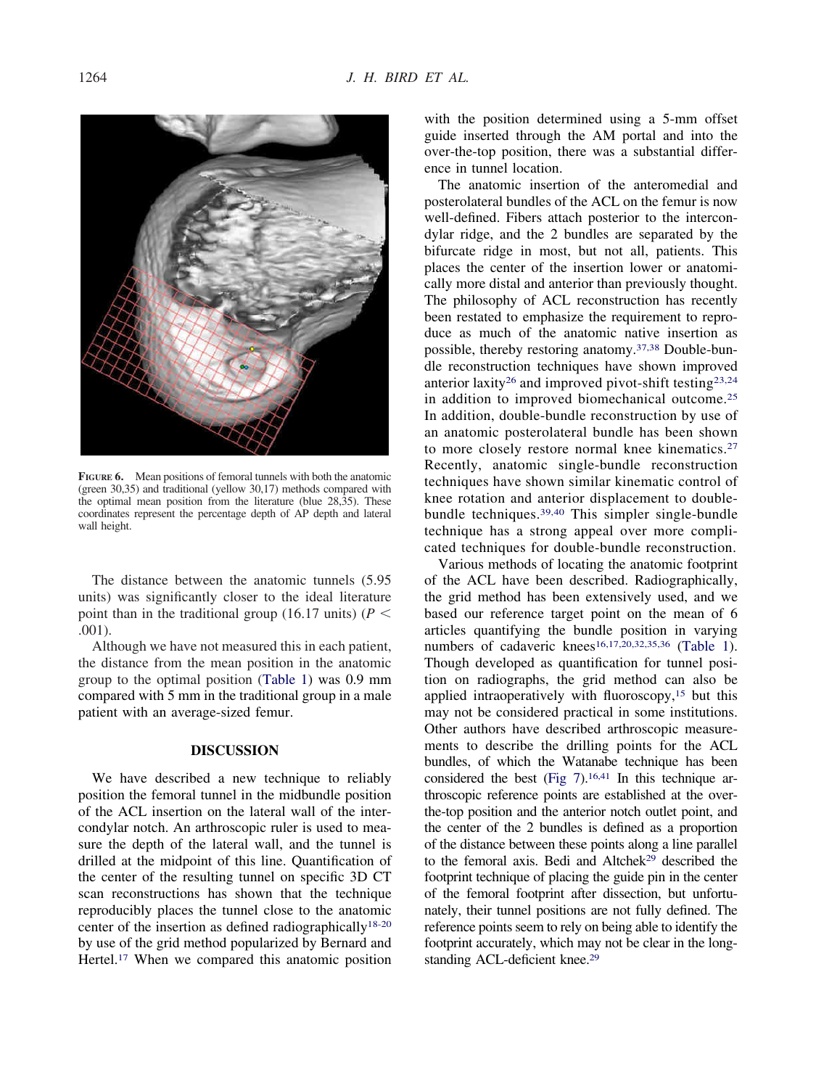

FIGURE 6. Mean positions of femoral tunnels with both the anatomic (green 30,35) and traditional (yellow 30,17) methods compared with the optimal mean position from the literature (blue 28,35). These coordinates represent the percentage depth of AP depth and lateral wall height.

The distance between the anatomic tunnels (5.95) units) was significantly closer to the ideal literature point than in the traditional group (16.17 units) ( $P \le$  $.001$ ).

Although we have not measured this in each patient, the distance from the mean position in the anatomic group to the optimal position (Table 1) was 0.9 mm compared with 5 mm in the traditional group in a male patient with an average-sized femur.

## **DISCUSSION**

We have described a new technique to reliably position the femoral tunnel in the midbundle position of the ACL insertion on the lateral wall of the intercondylar notch. An arthroscopic ruler is used to measure the depth of the lateral wall, and the tunnel is drilled at the midpoint of this line. Quantification of the center of the resulting tunnel on specific 3D CT scan reconstructions has shown that the technique reproducibly places the tunnel close to the anatomic center of the insertion as defined radiographically<sup>18-20</sup> by use of the grid method popularized by Bernard and Hertel.<sup>17</sup> When we compared this anatomic position with the position determined using a 5-mm offset guide inserted through the AM portal and into the over-the-top position, there was a substantial difference in tunnel location.

The anatomic insertion of the anteromedial and posterolateral bundles of the ACL on the femur is now well-defined. Fibers attach posterior to the intercondylar ridge, and the 2 bundles are separated by the bifurcate ridge in most, but not all, patients. This places the center of the insertion lower or anatomically more distal and anterior than previously thought. The philosophy of ACL reconstruction has recently been restated to emphasize the requirement to reproduce as much of the anatomic native insertion as possible, thereby restoring anatomy.<sup>37,38</sup> Double-bundle reconstruction techniques have shown improved anterior laxity<sup>26</sup> and improved pivot-shift testing<sup>23,24</sup> in addition to improved biomechanical outcome.<sup>25</sup> In addition, double-bundle reconstruction by use of an anatomic posterolateral bundle has been shown to more closely restore normal knee kinematics.<sup>27</sup> Recently, anatomic single-bundle reconstruction techniques have shown similar kinematic control of knee rotation and anterior displacement to doublebundle techniques.<sup>39,40</sup> This simpler single-bundle technique has a strong appeal over more complicated techniques for double-bundle reconstruction.

Various methods of locating the anatomic footprint of the ACL have been described. Radiographically, the grid method has been extensively used, and we based our reference target point on the mean of 6 articles quantifying the bundle position in varying numbers of cadaveric knees<sup>16,17,20,32,35,36</sup> (Table 1). Though developed as quantification for tunnel position on radiographs, the grid method can also be applied intraoperatively with fluoroscopy,<sup>15</sup> but this may not be considered practical in some institutions. Other authors have described arthroscopic measurements to describe the drilling points for the ACL bundles, of which the Watanabe technique has been considered the best (Fig 7).<sup>16,41</sup> In this technique arthroscopic reference points are established at the overthe-top position and the anterior notch outlet point, and the center of the 2 bundles is defined as a proportion of the distance between these points along a line parallel to the femoral axis. Bedi and Altchek<sup>29</sup> described the footprint technique of placing the guide pin in the center of the femoral footprint after dissection, but unfortunately, their tunnel positions are not fully defined. The reference points seem to rely on being able to identify the footprint accurately, which may not be clear in the longstanding ACL-deficient knee.<sup>29</sup>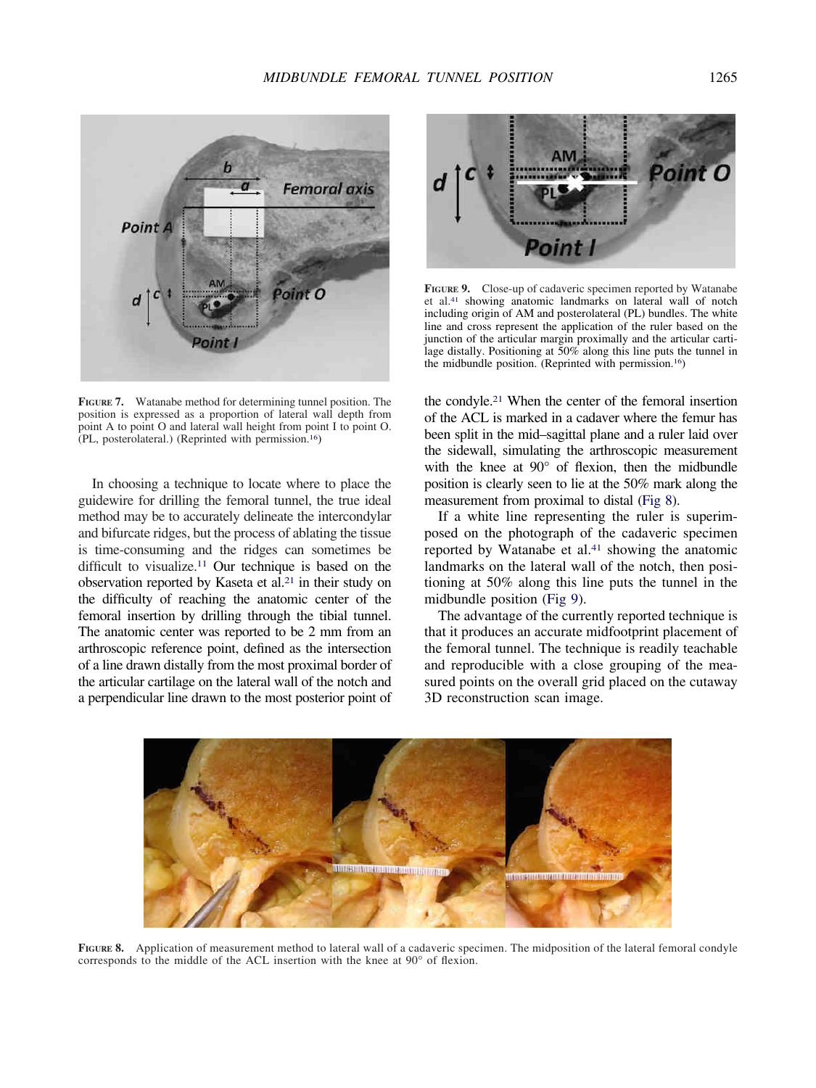

FIGURE 7. Watanabe method for determining tunnel position. The position is expressed as a proportion of lateral wall depth from point A to point O and lateral wall height from point I to point O. (PL, posterolateral.) (Reprinted with permission.<sup>16</sup>)

In choosing a technique to locate where to place the guidewire for drilling the femoral tunnel, the true ideal method may be to accurately delineate the intercondylar and bifurcate ridges, but the process of ablating the tissue is time-consuming and the ridges can sometimes be difficult to visualize.<sup>11</sup> Our technique is based on the observation reported by Kaseta et al.<sup>21</sup> in their study on the difficulty of reaching the anatomic center of the femoral insertion by drilling through the tibial tunnel. The anatomic center was reported to be 2 mm from an arthroscopic reference point, defined as the intersection of a line drawn distally from the most proximal border of the articular cartilage on the lateral wall of the notch and a perpendicular line drawn to the most posterior point of



FIGURE 9. Close-up of cadaveric specimen reported by Watanabe et al.<sup>41</sup> showing anatomic landmarks on lateral wall of notch including origin of AM and posterolateral (PL) bundles. The white line and cross represent the application of the ruler based on the junction of the articular margin proximally and the articular cartilage distally. Positioning at 50% along this line puts the tunnel in the midbundle position. (Reprinted with permission.<sup>16</sup>)

the condyle.<sup>21</sup> When the center of the femoral insertion of the ACL is marked in a cadaver where the femur has been split in the mid-sagittal plane and a ruler laid over the sidewall, simulating the arthroscopic measurement with the knee at 90° of flexion, then the midbundle position is clearly seen to lie at the 50% mark along the measurement from proximal to distal (Fig 8).

If a white line representing the ruler is superimposed on the photograph of the cadaveric specimen reported by Watanabe et al.<sup>41</sup> showing the anatomic landmarks on the lateral wall of the notch, then positioning at 50% along this line puts the tunnel in the midbundle position (Fig 9).

The advantage of the currently reported technique is that it produces an accurate midfootprint placement of the femoral tunnel. The technique is readily teachable and reproducible with a close grouping of the measured points on the overall grid placed on the cutaway 3D reconstruction scan image.



FIGURE 8. Application of measurement method to lateral wall of a cadaveric specimen. The midposition of the lateral femoral condyle corresponds to the middle of the ACL insertion with the knee at 90° of flexion.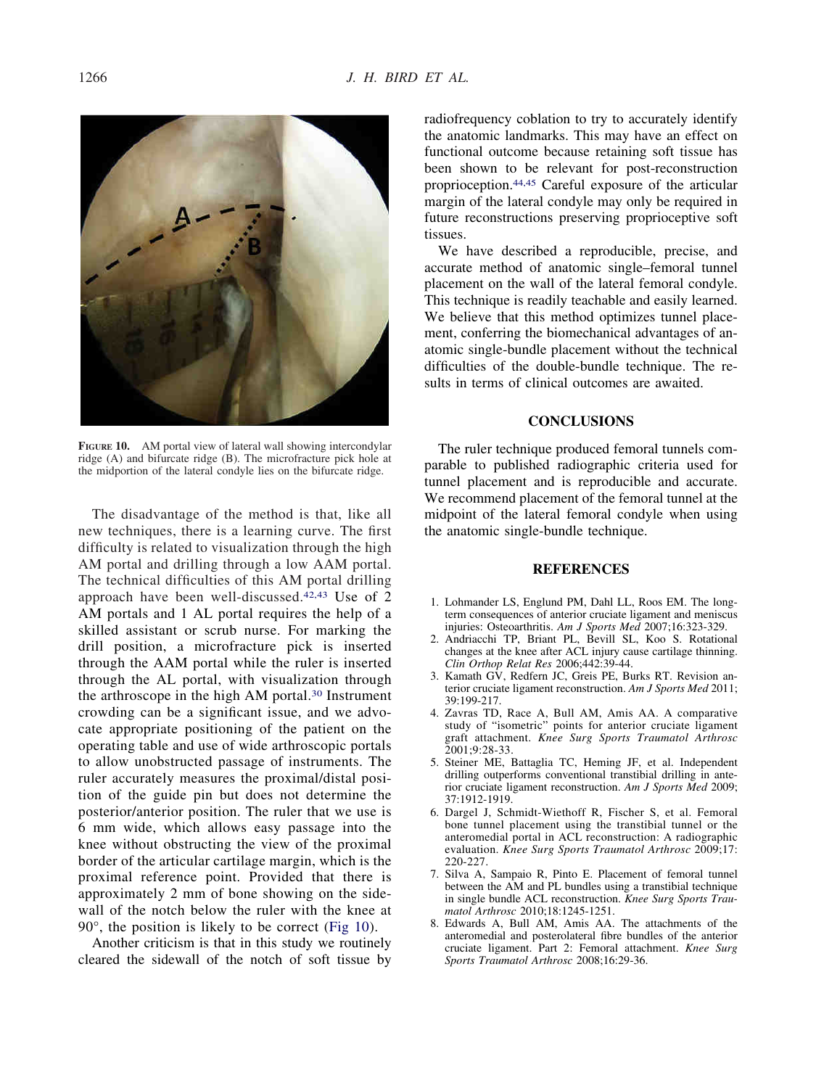

FIGURE 10. AM portal view of lateral wall showing intercondylar ridge (A) and bifurcate ridge (B). The microfracture pick hole at the midportion of the lateral condyle lies on the bifurcate ridge.

The disadvantage of the method is that, like all new techniques, there is a learning curve. The first difficulty is related to visualization through the high AM portal and drilling through a low AAM portal. The technical difficulties of this AM portal drilling approach have been well-discussed.<sup>42,43</sup> Use of 2 AM portals and 1 AL portal requires the help of a skilled assistant or scrub nurse. For marking the drill position, a microfracture pick is inserted through the AAM portal while the ruler is inserted through the AL portal, with visualization through the arthroscope in the high AM portal.<sup>30</sup> Instrument crowding can be a significant issue, and we advocate appropriate positioning of the patient on the operating table and use of wide arthroscopic portals to allow unobstructed passage of instruments. The ruler accurately measures the proximal/distal position of the guide pin but does not determine the posterior/anterior position. The ruler that we use is 6 mm wide, which allows easy passage into the knee without obstructing the view of the proximal border of the articular cartilage margin, which is the proximal reference point. Provided that there is approximately 2 mm of bone showing on the sidewall of the notch below the ruler with the knee at  $90^\circ$ , the position is likely to be correct (Fig 10).

Another criticism is that in this study we routinely cleared the sidewall of the notch of soft tissue by radiofrequency coblation to try to accurately identify the anatomic landmarks. This may have an effect on functional outcome because retaining soft tissue has been shown to be relevant for post-reconstruction proprioception.<sup>44,45</sup> Careful exposure of the articular margin of the lateral condyle may only be required in future reconstructions preserving proprioceptive soft tissues.

We have described a reproducible, precise, and accurate method of anatomic single-femoral tunnel placement on the wall of the lateral femoral condyle. This technique is readily teachable and easily learned. We believe that this method optimizes tunnel placement, conferring the biomechanical advantages of anatomic single-bundle placement without the technical difficulties of the double-bundle technique. The results in terms of clinical outcomes are awaited.

#### **CONCLUSIONS**

The ruler technique produced femoral tunnels comparable to published radiographic criteria used for tunnel placement and is reproducible and accurate. We recommend placement of the femoral tunnel at the midpoint of the lateral femoral condyle when using the anatomic single-bundle technique.

### **REFERENCES**

- 1. Lohmander LS, Englund PM, Dahl LL, Roos EM. The longterm consequences of anterior cruciate ligament and meniscus injuries: Osteoarthritis. Am J Sports Med 2007;16:323-329.
- $2<sub>1</sub>$ Andriacchi TP, Briant PL, Bevill SL, Koo S. Rotational changes at the knee after ACL injury cause cartilage thinning. Clin Orthop Relat Res 2006;442:39-44.
- 3. Kamath GV, Redfern JC, Greis PE, Burks RT. Revision anterior cruciate ligament reconstruction. Am J Sports Med 2011;  $39:199-217$
- 4. Zavras TD, Race A, Bull AM, Amis AA. A comparative study of "isometric" points for anterior cruciate ligament graft attachment. Knee Surg Sports Traumatol Arthrosc 2001:9:28-33
- 5. Steiner ME, Battaglia TC, Heming JF, et al. Independent drilling outperforms conventional transtibial drilling in anterior cruciate ligament reconstruction. Am J Sports Med 2009; 37:1912-1919.
- 6. Dargel J, Schmidt-Wiethoff R, Fischer S, et al. Femoral bone tunnel placement using the transtibial tunnel or the anteromedial portal in ACL reconstruction: A radiographic evaluation. Knee Surg Sports Traumatol Arthrosc 2009;17: 220-227.
- 7. Silva A, Sampaio R, Pinto E. Placement of femoral tunnel between the AM and PL bundles using a transtibial technique in single bundle ACL reconstruction. Knee Surg Sports Traumatol Arthrosc 2010;18:1245-1251.
- 8. Edwards A, Bull AM, Amis AA. The attachments of the anteromedial and posterolateral fibre bundles of the anterior cruciate ligament. Part 2: Femoral attachment. Knee Surg Sports Traumatol Arthrosc 2008;16:29-36.